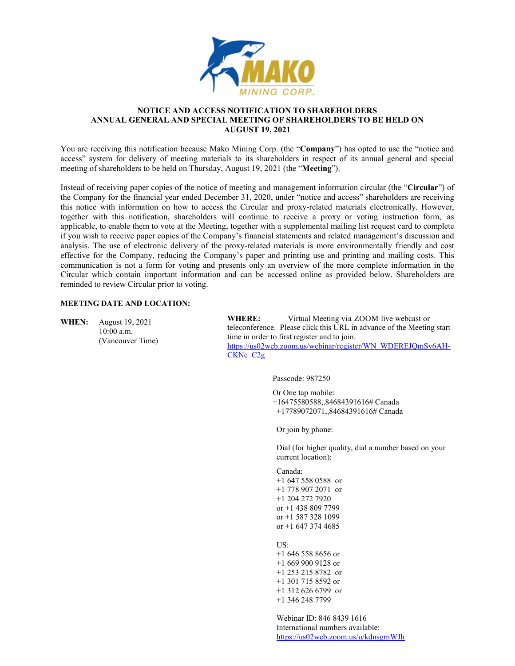

#### **NOTICE AND ACCESS NOTIFICATION TO SHAREHOLDERS ANNUAL GENERAL AND SPECIAL MEETING OF SHAREHOLDERS TO BE HELD ON AUGUST 19, 2021**

You are receiving this notification because Mako Mining Corp. (the "**Company**") has opted to use the "notice and access" system for delivery of meeting materials to its shareholders in respect of its annual general and special meeting of shareholders to be held on Thursday, August 19, 2021 (the "**Meeting**").

Instead of receiving paper copies of the notice of meeting and management information circular (the "**Circular**") of the Company for the financial year ended December 31, 2020, under "notice and access" shareholders are receiving this notice with information on how to access the Circular and proxy-related materials electronically. However, together with this notification, shareholders will continue to receive a proxy or voting instruction form, as applicable, to enable them to vote at the Meeting, together with a supplemental mailing list request card to complete if you wish to receive paper copies of the Company's financial statements and related management's discussion and analysis. The use of electronic delivery of the proxy-related materials is more environmentally friendly and cost effective for the Company, reducing the Company's paper and printing use and printing and mailing costs. This communication is not a form for voting and presents only an overview of the more complete information in the Circular which contain important information and can be accessed online as provided below. Shareholders are reminded to review Circular prior to voting.

## **MEETING DATE AND LOCATION:**

**WHEN:** August 19, 2021 10:00 a.m. (Vancouver Time)

**WHERE:** Virtual Meeting via ZOOM live webcast or teleconference. Please click this URL in advance of the Meeting start time in order to first register and to join. [https://us02web.zoom.us/webinar/register/WN\\_WDEREJQmSv6AH-](https://us02web.zoom.us/webinar/register/WN_WDEREJQmSv6AH-CKNe_C2g)CKNe C<sub>2g</sub>

Passcode: 987250

Or One tap mobile: +16475580588,,84684391616# Canada +17789072071,,84684391616# Canada

Or join by phone:

Dial (for higher quality, dial a number based on your current location):

Canada: +1 647 558 0588 or +1 778 907 2071 or +1 204 272 7920 or +1 438 809 7799 or +1 587 328 1099 or  $+1$  647 374 4685

US: +1 646 558 8656 or +1 669 900 9128 or +1 253 215 8782 or +1 301 715 8592 or +1 312 626 6799 or +1 346 248 7799

Webinar ID: 846 8439 1616 International numbers available: <https://us02web.zoom.us/u/kdnsgrnWJh>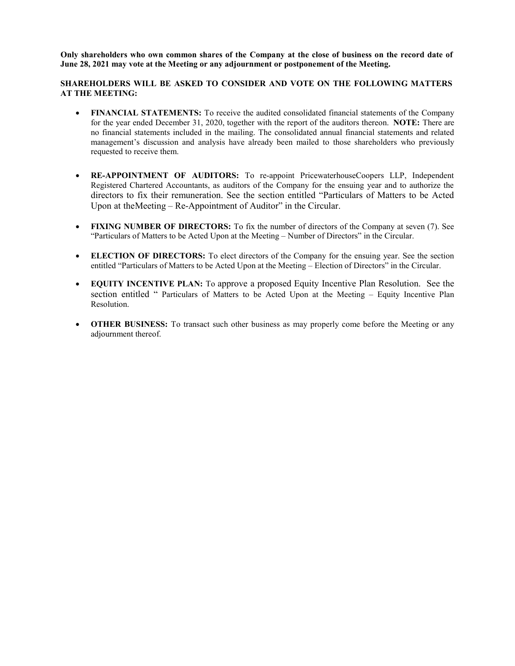Only shareholders who own common shares of the Company at the close of business on the record date of **June 28, 2021 may vote at the Meeting or any adjournment or postponement of the Meeting.**

# **SHAREHOLDERS WILL BE ASKED TO CONSIDER AND VOTE ON THE FOLLOWING MATTERS AT THE MEETING:**

- **FINANCIAL STATEMENTS:** To receive the audited consolidated financial statements of the Company for the year ended December 31, 2020, together with the report of the auditors thereon. **NOTE:** There are no financial statements included in the mailing. The consolidated annual financial statements and related management's discussion and analysis have already been mailed to those shareholders who previously requested to receive them.
- **RE-APPOINTMENT OF AUDITORS:** To re-appoint PricewaterhouseCoopers LLP, Independent Registered Chartered Accountants, as auditors of the Company for the ensuing year and to authorize the directors to fix their remuneration. See the section entitled "Particulars of Matters to be Acted Upon at the Meeting – Re-Appointment of Auditor" in the Circular.
- **FIXING NUMBER OF DIRECTORS:** To fix the number of directors of the Company at seven (7). See "Particulars of Matters to be Acted Upon at the Meeting – Number of Directors" in the Circular.
- **ELECTION OF DIRECTORS:** To elect directors of the Company for the ensuing year. See the section entitled "Particulars of Matters to be Acted Upon at the Meeting – Election of Directors" in the Circular.
- **EQUITY INCENTIVE PLAN:** To approve a proposed Equity Incentive Plan Resolution. See the section entitled " Particulars of Matters to be Acted Upon at the Meeting – Equity Incentive Plan Resolution.
- **OTHER BUSINESS:** To transact such other business as may properly come before the Meeting or any adjournment thereof.